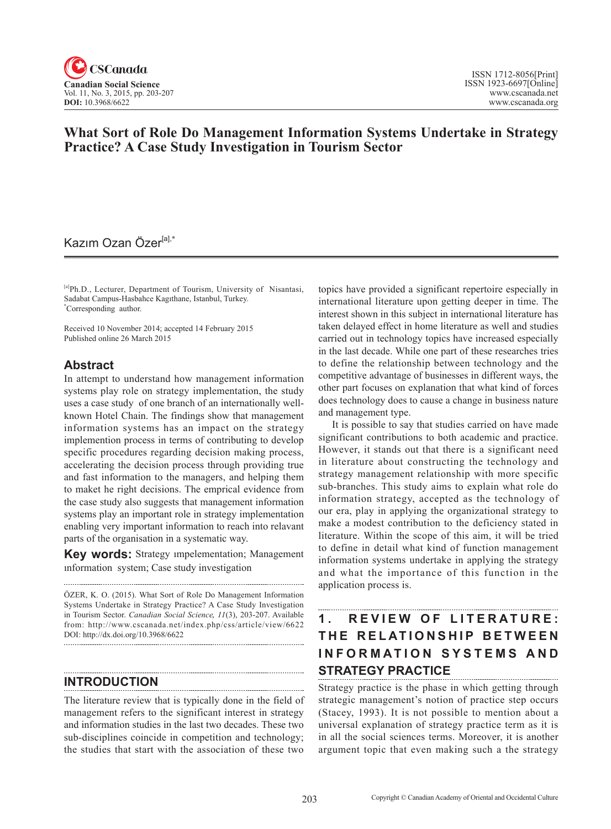

## **What Sort of Role Do Management Information Systems Undertake in Strategy Practice? A Case Study Investigation in Tourism Sector**

## Kazım Ozan Özer<sup>[a],\*</sup>

[a]Ph.D., Lecturer, Department of Tourism, University of Nisantasi, Sadabat Campus-Hasbahce Kagıthane, Istanbul, Turkey. \* Corresponding author.

Received 10 November 2014; accepted 14 February 2015 Published online 26 March 2015

### **Abstract**

In attempt to understand how management information systems play role on strategy implementation, the study uses a case study of one branch of an internationally wellknown Hotel Chain. The findings show that management information systems has an impact on the strategy implemention process in terms of contributing to develop specific procedures regarding decision making process, accelerating the decision process through providing true and fast information to the managers, and helping them to maket he right decisions. The emprical evidence from the case study also suggests that management information systems play an important role in strategy implementation enabling very important information to reach into relavant parts of the organisation in a systematic way.

**Key words:** Strategy ımpelementation; Management ınformation system; Case study investigation

ÖZER, K. O. (2015). What Sort of Role Do Management Information Systems Undertake in Strategy Practice? A Case Study Investigation in Tourism Sector. *Canadian Social Science*, <sup>11</sup>(3), 203-207. Available from: http://www.cscanada.net/index.php/css/article/view/6622 DOI: http://dx.doi.org/10.3968/6622

### **INTRODUCTION**

The literature review that is typically done in the field of management refers to the significant interest in strategy and information studies in the last two decades. These two sub-disciplines coincide in competition and technology; the studies that start with the association of these two

topics have provided a significant repertoire especially in international literature upon getting deeper in time. The interest shown in this subject in international literature has taken delayed effect in home literature as well and studies carried out in technology topics have increased especially in the last decade. While one part of these researches tries to define the relationship between technology and the competitive advantage of businesses in different ways, the other part focuses on explanation that what kind of forces does technology does to cause a change in business nature and management type.

It is possible to say that studies carried on have made significant contributions to both academic and practice. However, it stands out that there is a significant need in literature about constructing the technology and strategy management relationship with more specific sub-branches. This study aims to explain what role do information strategy, accepted as the technology of our era, play in applying the organizational strategy to make a modest contribution to the deficiency stated in literature. Within the scope of this aim, it will be tried to define in detail what kind of function management information systems undertake in applying the strategy and what the importance of this function in the application process is.

# 1. REVIEW OF LITERATURE: **THE RELATIONSHIP BETWEEN INFORMATION SYSTEMS AND STRATEGY PRACTICE**

Strategy practice is the phase in which getting through strategic management's notion of practice step occurs (Stacey, 1993). It is not possible to mention about a universal explanation of strategy practice term as it is in all the social sciences terms. Moreover, it is another argument topic that even making such a the strategy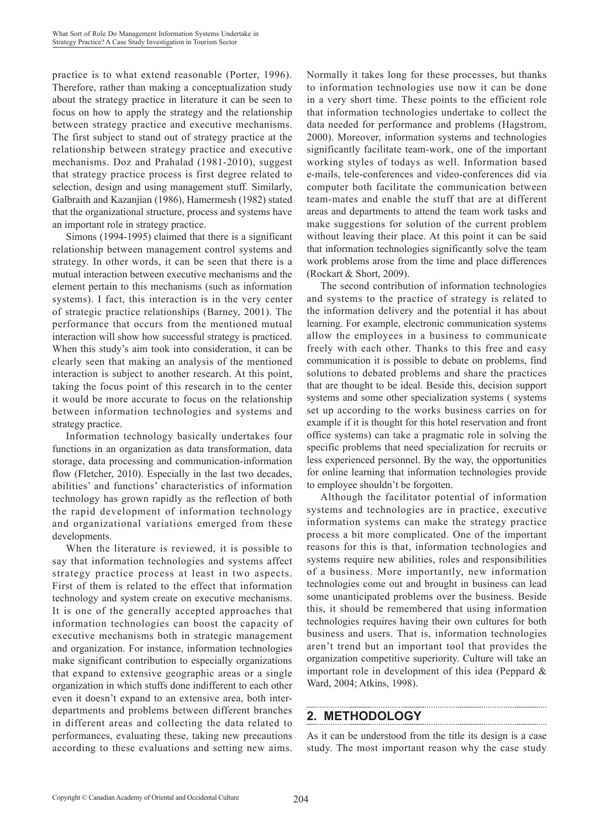practice is to what extend reasonable (Porter, 1996). Therefore, rather than making a conceptualization study about the strategy practice in literature it can be seen to focus on how to apply the strategy and the relationship between strategy practice and executive mechanisms. The first subject to stand out of strategy practice at the relationship between strategy practice and executive mechanisms. Doz and Prahalad (1981-2010), suggest that strategy practice process is first degree related to selection, design and using management stuff. Similarly, Galbraith and Kazanjian (1986), Hamermesh (1982) stated that the organizational structure, process and systems have an important role in strategy practice.

Simons (1994-1995) claimed that there is a significant relationship between management control systems and strategy. In other words, it can be seen that there is a mutual interaction between executive mechanisms and the element pertain to this mechanisms (such as information systems). I fact, this interaction is in the very center of strategic practice relationships (Barney, 2001). The performance that occurs from the mentioned mutual interaction will show how successful strategy is practiced. When this study's aim took into consideration, it can be clearly seen that making an analysis of the mentioned interaction is subject to another research. At this point, taking the focus point of this research in to the center it would be more accurate to focus on the relationship between information technologies and systems and strategy practice.

Information technology basically undertakes four functions in an organization as data transformation, data storage, data processing and communication-information flow (Fletcher, 2010). Especially in the last two decades, abilities' and functions' characteristics of information technology has grown rapidly as the reflection of both the rapid development of information technology and organizational variations emerged from these developments.

When the literature is reviewed, it is possible to say that information technologies and systems affect strategy practice process at least in two aspects. First of them is related to the effect that information technology and system create on executive mechanisms. It is one of the generally accepted approaches that information technologies can boost the capacity of executive mechanisms both in strategic management and organization. For instance, information technologies make significant contribution to especially organizations that expand to extensive geographic areas or a single organization in which stuffs done indifferent to each other even it doesn't expand to an extensive area, both interdepartments and problems between different branches in different areas and collecting the data related to performances, evaluating these, taking new precautions according to these evaluations and setting new aims. Normally it takes long for these processes, but thanks to information technologies use now it can be done in a very short time. These points to the efficient role that information technologies undertake to collect the data needed for performance and problems (Hagstrom, 2000). Moreover, information systems and technologies significantly facilitate team-work, one of the important working styles of todays as well. Information based e-mails, tele-conferences and video-conferences did via computer both facilitate the communication between team-mates and enable the stuff that are at different areas and departments to attend the team work tasks and make suggestions for solution of the current problem without leaving their place. At this point it can be said that information technologies significantly solve the team work problems arose from the time and place differences (Rockart & Short, 2009).

The second contribution of information technologies and systems to the practice of strategy is related to the information delivery and the potential it has about learning. For example, electronic communication systems allow the employees in a business to communicate freely with each other. Thanks to this free and easy communication it is possible to debate on problems, find solutions to debated problems and share the practices that are thought to be ideal. Beside this, decision support systems and some other specialization systems ( systems set up according to the works business carries on for example if it is thought for this hotel reservation and front office systems) can take a pragmatic role in solving the specific problems that need specialization for recruits or less experienced personnel. By the way, the opportunities for online learning that information technologies provide to employee shouldn't be forgotten.

Although the facilitator potential of information systems and technologies are in practice, executive information systems can make the strategy practice process a bit more complicated. One of the important reasons for this is that, information technologies and systems require new abilities, roles and responsibilities of a business. More importantly, new information technologies come out and brought in business can lead some unanticipated problems over the business. Beside this, it should be remembered that using information technologies requires having their own cultures for both business and users. That is, information technologies aren't trend but an important tool that provides the organization competitive superiority. Culture will take an important role in development of this idea (Peppard & Ward, 2004; Atkins, 1998).

## **2. METHODOLOGY**

As it can be understood from the title its design is a case study. The most important reason why the case study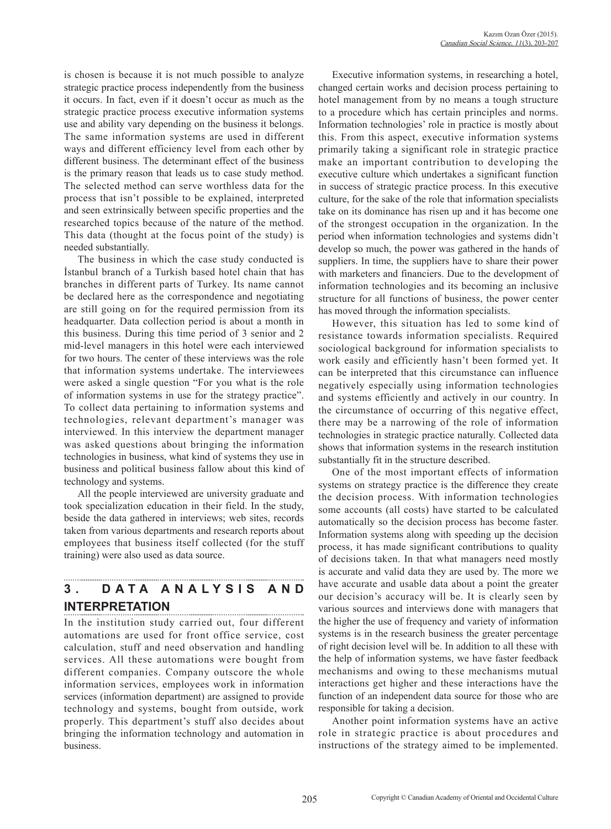is chosen is because it is not much possible to analyze strategic practice process independently from the business it occurs. In fact, even if it doesn't occur as much as the strategic practice process executive information systems use and ability vary depending on the business it belongs. The same information systems are used in different ways and different efficiency level from each other by different business. The determinant effect of the business is the primary reason that leads us to case study method. The selected method can serve worthless data for the process that isn't possible to be explained, interpreted and seen extrinsically between specific properties and the researched topics because of the nature of the method. This data (thought at the focus point of the study) is needed substantially.

The business in which the case study conducted is İstanbul branch of a Turkish based hotel chain that has branches in different parts of Turkey. Its name cannot be declared here as the correspondence and negotiating are still going on for the required permission from its headquarter. Data collection period is about a month in this business. During this time period of 3 senior and 2 mid-level managers in this hotel were each interviewed for two hours. The center of these interviews was the role that information systems undertake. The interviewees were asked a single question "For you what is the role of information systems in use for the strategy practice". To collect data pertaining to information systems and technologies, relevant department's manager was interviewed. In this interview the department manager was asked questions about bringing the information technologies in business, what kind of systems they use in business and political business fallow about this kind of technology and systems.

All the people interviewed are university graduate and took specialization education in their field. In the study, beside the data gathered in interviews; web sites, records taken from various departments and research reports about employees that business itself collected (for the stuff training) were also used as data source.

# **3 . D A T A A N A L Y S I S A N D INTERPRETATION**

In the institution study carried out, four different automations are used for front office service, cost calculation, stuff and need observation and handling services. All these automations were bought from different companies. Company outscore the whole information services, employees work in information services (information department) are assigned to provide technology and systems, bought from outside, work properly. This department's stuff also decides about bringing the information technology and automation in business.

Executive information systems, in researching a hotel, changed certain works and decision process pertaining to hotel management from by no means a tough structure to a procedure which has certain principles and norms. Information technologies' role in practice is mostly about this. From this aspect, executive information systems primarily taking a significant role in strategic practice make an important contribution to developing the executive culture which undertakes a significant function in success of strategic practice process. In this executive culture, for the sake of the role that information specialists take on its dominance has risen up and it has become one of the strongest occupation in the organization. In the period when information technologies and systems didn't develop so much, the power was gathered in the hands of suppliers. In time, the suppliers have to share their power with marketers and financiers. Due to the development of information technologies and its becoming an inclusive structure for all functions of business, the power center has moved through the information specialists.

However, this situation has led to some kind of resistance towards information specialists. Required sociological background for information specialists to work easily and efficiently hasn't been formed yet. It can be interpreted that this circumstance can influence negatively especially using information technologies and systems efficiently and actively in our country. In the circumstance of occurring of this negative effect, there may be a narrowing of the role of information technologies in strategic practice naturally. Collected data shows that information systems in the research institution substantially fit in the structure described.

One of the most important effects of information systems on strategy practice is the difference they create the decision process. With information technologies some accounts (all costs) have started to be calculated automatically so the decision process has become faster. Information systems along with speeding up the decision process, it has made significant contributions to quality of decisions taken. In that what managers need mostly is accurate and valid data they are used by. The more we have accurate and usable data about a point the greater our decision's accuracy will be. It is clearly seen by various sources and interviews done with managers that the higher the use of frequency and variety of information systems is in the research business the greater percentage of right decision level will be. In addition to all these with the help of information systems, we have faster feedback mechanisms and owing to these mechanisms mutual interactions get higher and these interactions have the function of an independent data source for those who are responsible for taking a decision.

Another point information systems have an active role in strategic practice is about procedures and instructions of the strategy aimed to be implemented.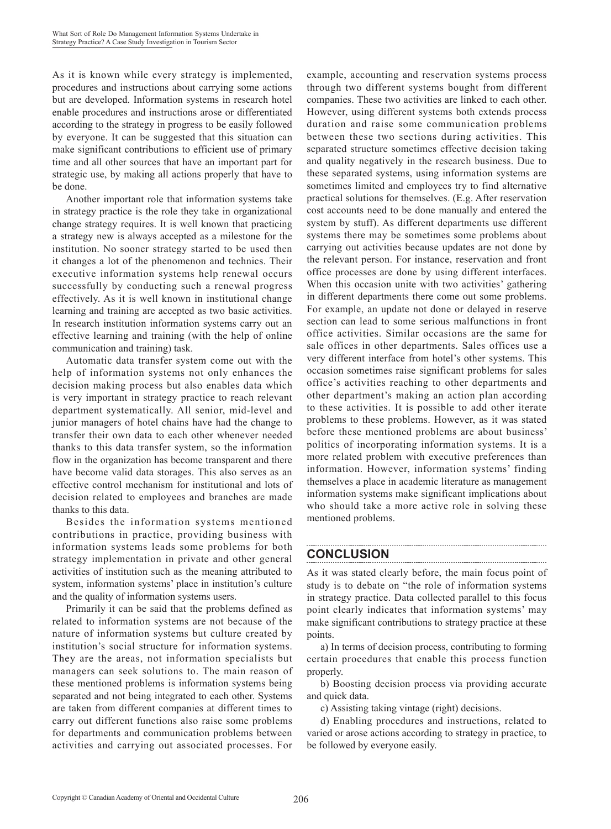As it is known while every strategy is implemented, procedures and instructions about carrying some actions but are developed. Information systems in research hotel enable procedures and instructions arose or differentiated according to the strategy in progress to be easily followed by everyone. It can be suggested that this situation can make significant contributions to efficient use of primary time and all other sources that have an important part for strategic use, by making all actions properly that have to be done.

Another important role that information systems take in strategy practice is the role they take in organizational change strategy requires. It is well known that practicing a strategy new is always accepted as a milestone for the institution. No sooner strategy started to be used then it changes a lot of the phenomenon and technics. Their executive information systems help renewal occurs successfully by conducting such a renewal progress effectively. As it is well known in institutional change learning and training are accepted as two basic activities. In research institution information systems carry out an effective learning and training (with the help of online communication and training) task.

Automatic data transfer system come out with the help of information systems not only enhances the decision making process but also enables data which is very important in strategy practice to reach relevant department systematically. All senior, mid-level and junior managers of hotel chains have had the change to transfer their own data to each other whenever needed thanks to this data transfer system, so the information flow in the organization has become transparent and there have become valid data storages. This also serves as an effective control mechanism for institutional and lots of decision related to employees and branches are made thanks to this data.

Besides the information systems mentioned contributions in practice, providing business with information systems leads some problems for both strategy implementation in private and other general activities of institution such as the meaning attributed to system, information systems' place in institution's culture and the quality of information systems users.

Primarily it can be said that the problems defined as related to information systems are not because of the nature of information systems but culture created by institution's social structure for information systems. They are the areas, not information specialists but managers can seek solutions to. The main reason of these mentioned problems is information systems being separated and not being integrated to each other. Systems are taken from different companies at different times to carry out different functions also raise some problems for departments and communication problems between activities and carrying out associated processes. For

example, accounting and reservation systems process through two different systems bought from different companies. These two activities are linked to each other. However, using different systems both extends process duration and raise some communication problems between these two sections during activities. This separated structure sometimes effective decision taking and quality negatively in the research business. Due to these separated systems, using information systems are sometimes limited and employees try to find alternative practical solutions for themselves. (E.g. After reservation cost accounts need to be done manually and entered the system by stuff). As different departments use different systems there may be sometimes some problems about carrying out activities because updates are not done by the relevant person. For instance, reservation and front office processes are done by using different interfaces. When this occasion unite with two activities' gathering in different departments there come out some problems. For example, an update not done or delayed in reserve section can lead to some serious malfunctions in front office activities. Similar occasions are the same for sale offices in other departments. Sales offices use a very different interface from hotel's other systems. This occasion sometimes raise significant problems for sales office's activities reaching to other departments and other department's making an action plan according to these activities. It is possible to add other iterate problems to these problems. However, as it was stated before these mentioned problems are about business' politics of incorporating information systems. It is a more related problem with executive preferences than information. However, information systems' finding themselves a place in academic literature as management information systems make significant implications about who should take a more active role in solving these mentioned problems.

## **CONCLUSION**

As it was stated clearly before, the main focus point of study is to debate on "the role of information systems in strategy practice. Data collected parallel to this focus point clearly indicates that information systems' may make significant contributions to strategy practice at these points.

a) In terms of decision process, contributing to forming certain procedures that enable this process function properly.

b) Boosting decision process via providing accurate and quick data.

c) Assisting taking vintage (right) decisions.

d) Enabling procedures and instructions, related to varied or arose actions according to strategy in practice, to be followed by everyone easily.